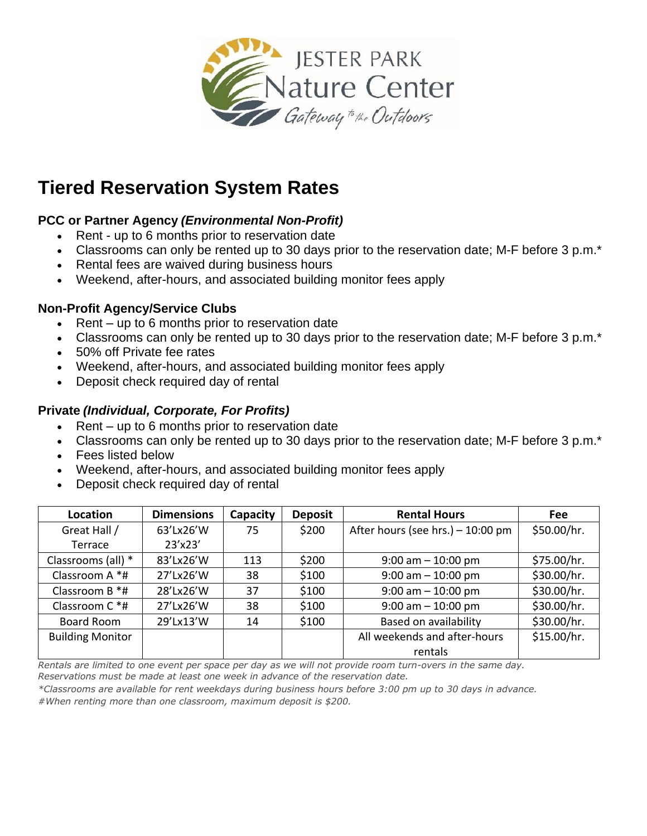

# **Tiered Reservation System Rates**

# **PCC or Partner Agency** *(Environmental Non-Profit)*

- Rent up to 6 months prior to reservation date
- Classrooms can only be rented up to 30 days prior to the reservation date; M-F before 3 p.m.\*
- Rental fees are waived during business hours
- Weekend, after-hours, and associated building monitor fees apply

## **Non-Profit Agency/Service Clubs**

- Rent up to 6 months prior to reservation date
- Classrooms can only be rented up to 30 days prior to the reservation date; M-F before 3 p.m.\*
- 50% off Private fee rates
- Weekend, after-hours, and associated building monitor fees apply
- Deposit check required day of rental

## **Private** *(Individual, Corporate, For Profits)*

- $\bullet$  Rent up to 6 months prior to reservation date
- Classrooms can only be rented up to 30 days prior to the reservation date; M-F before 3 p.m.\*
- Fees listed below
- Weekend, after-hours, and associated building monitor fees apply
- Deposit check required day of rental

| Location                | <b>Dimensions</b> | Capacity | <b>Deposit</b> | <b>Rental Hours</b>               | <b>Fee</b>  |
|-------------------------|-------------------|----------|----------------|-----------------------------------|-------------|
| Great Hall /            | 63'Lx26'W         | 75       | \$200          | After hours (see hrs.) - 10:00 pm | \$50.00/hr. |
| Terrace                 | 23'x23'           |          |                |                                   |             |
| Classrooms (all) *      | 83'Lx26'W         | 113      | \$200          | $9:00$ am $-10:00$ pm             | \$75.00/hr. |
| Classroom A *#          | 27'Lx26'W         | 38       | \$100          | $9:00$ am $-10:00$ pm             | \$30.00/hr. |
| Classroom B *#          | 28'Lx26'W         | 37       | \$100          | $9:00$ am $-10:00$ pm             | \$30.00/hr. |
| Classroom $C^*$ #       | 27'Lx26'W         | 38       | \$100          | $9:00$ am $-10:00$ pm             | \$30.00/hr. |
| Board Room              | 29'Lx13'W         | 14       | \$100          | Based on availability             | \$30.00/hr. |
| <b>Building Monitor</b> |                   |          |                | All weekends and after-hours      | \$15.00/hr. |
|                         |                   |          |                | rentals                           |             |

*Rentals are limited to one event per space per day as we will not provide room turn-overs in the same day. Reservations must be made at least one week in advance of the reservation date.*

*\*Classrooms are available for rent weekdays during business hours before 3:00 pm up to 30 days in advance. #When renting more than one classroom, maximum deposit is \$200.*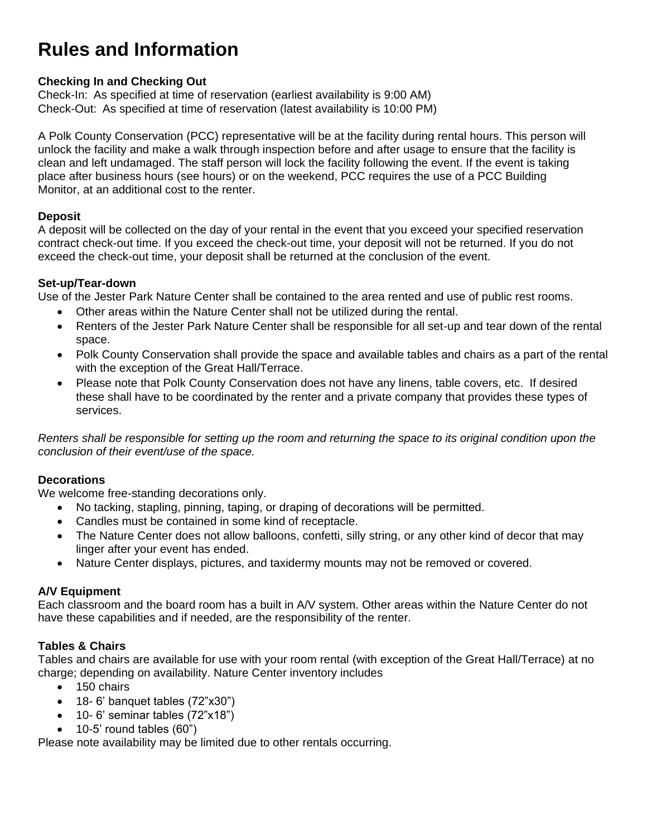# **Rules and Information**

### **Checking In and Checking Out**

Check-In: As specified at time of reservation (earliest availability is 9:00 AM) Check-Out: As specified at time of reservation (latest availability is 10:00 PM)

A Polk County Conservation (PCC) representative will be at the facility during rental hours. This person will unlock the facility and make a walk through inspection before and after usage to ensure that the facility is clean and left undamaged. The staff person will lock the facility following the event. If the event is taking place after business hours (see hours) or on the weekend, PCC requires the use of a PCC Building Monitor, at an additional cost to the renter.

#### **Deposit**

A deposit will be collected on the day of your rental in the event that you exceed your specified reservation contract check-out time. If you exceed the check-out time, your deposit will not be returned. If you do not exceed the check-out time, your deposit shall be returned at the conclusion of the event.

#### **Set-up/Tear-down**

Use of the Jester Park Nature Center shall be contained to the area rented and use of public rest rooms.

- Other areas within the Nature Center shall not be utilized during the rental.
- Renters of the Jester Park Nature Center shall be responsible for all set-up and tear down of the rental space.
- Polk County Conservation shall provide the space and available tables and chairs as a part of the rental with the exception of the Great Hall/Terrace.
- Please note that Polk County Conservation does not have any linens, table covers, etc. If desired these shall have to be coordinated by the renter and a private company that provides these types of services.

*Renters shall be responsible for setting up the room and returning the space to its original condition upon the conclusion of their event/use of the space.*

### **Decorations**

We welcome free-standing decorations only.

- No tacking, stapling, pinning, taping, or draping of decorations will be permitted.
- Candles must be contained in some kind of receptacle.
- The Nature Center does not allow balloons, confetti, silly string, or any other kind of decor that may linger after your event has ended.
- Nature Center displays, pictures, and taxidermy mounts may not be removed or covered.

### **A/V Equipment**

Each classroom and the board room has a built in A/V system. Other areas within the Nature Center do not have these capabilities and if needed, are the responsibility of the renter.

#### **Tables & Chairs**

Tables and chairs are available for use with your room rental (with exception of the Great Hall/Terrace) at no charge; depending on availability. Nature Center inventory includes

- 150 chairs
- $\bullet$  18-6' banquet tables (72"x30")
- 10- 6' seminar tables (72"x18")
- $\bullet$  10-5' round tables (60")

Please note availability may be limited due to other rentals occurring.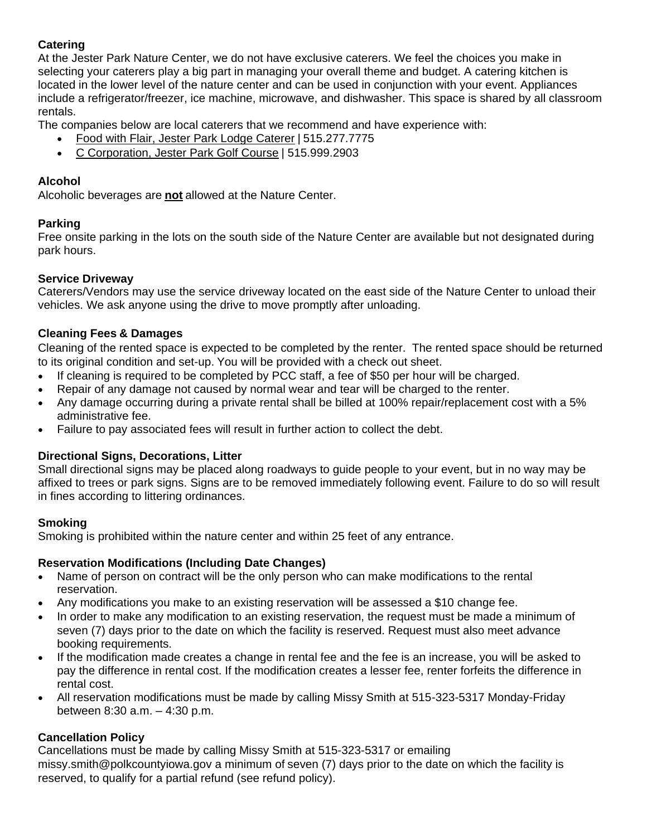### **Catering**

At the Jester Park Nature Center, we do not have exclusive caterers. We feel the choices you make in selecting your caterers play a big part in managing your overall theme and budget. A catering kitchen is located in the lower level of the nature center and can be used in conjunction with your event. Appliances include a refrigerator/freezer, ice machine, microwave, and dishwasher. This space is shared by all classroom rentals.

The companies below are local caterers that we recommend and have experience with:

- [Food with Flair, Jester Park Lodge Caterer](https://www.foodwithflair.com/) | 515.277.7775
- [C Corporation, Jester Park Golf Course](https://www.jesterparkgolf.com/facility-rentals/) | 515.999.2903

### **Alcohol**

Alcoholic beverages are **not** allowed at the Nature Center.

### **Parking**

Free onsite parking in the lots on the south side of the Nature Center are available but not designated during park hours.

### **Service Driveway**

Caterers/Vendors may use the service driveway located on the east side of the Nature Center to unload their vehicles. We ask anyone using the drive to move promptly after unloading.

## **Cleaning Fees & Damages**

Cleaning of the rented space is expected to be completed by the renter. The rented space should be returned to its original condition and set-up. You will be provided with a check out sheet.

- If cleaning is required to be completed by PCC staff, a fee of \$50 per hour will be charged.
- Repair of any damage not caused by normal wear and tear will be charged to the renter.
- Any damage occurring during a private rental shall be billed at 100% repair/replacement cost with a 5% administrative fee.
- Failure to pay associated fees will result in further action to collect the debt.

### **Directional Signs, Decorations, Litter**

Small directional signs may be placed along roadways to guide people to your event, but in no way may be affixed to trees or park signs. Signs are to be removed immediately following event. Failure to do so will result in fines according to littering ordinances.

### **Smoking**

Smoking is prohibited within the nature center and within 25 feet of any entrance.

### **Reservation Modifications (Including Date Changes)**

- Name of person on contract will be the only person who can make modifications to the rental reservation.
- Any modifications you make to an existing reservation will be assessed a \$10 change fee.
- In order to make any modification to an existing reservation, the request must be made a minimum of seven (7) days prior to the date on which the facility is reserved. Request must also meet advance booking requirements.
- If the modification made creates a change in rental fee and the fee is an increase, you will be asked to pay the difference in rental cost. If the modification creates a lesser fee, renter forfeits the difference in rental cost.
- All reservation modifications must be made by calling Missy Smith at 515-323-5317 Monday-Friday between 8:30 a.m. – 4:30 p.m.

### **Cancellation Policy**

Cancellations must be made by calling Missy Smith at 515-323-5317 or emailing missy.smith@polkcountyiowa.gov a minimum of seven (7) days prior to the date on which the facility is reserved, to qualify for a partial refund (see refund policy).